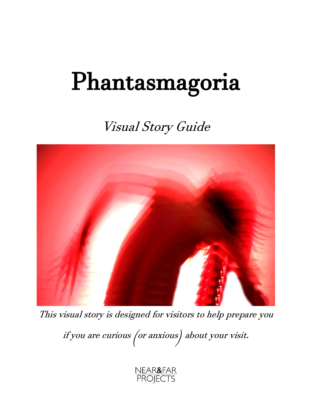# Phantasmagoria

# Visual Story Guide



This visual story is designed for visitors to help prepare you

if you are curious (or anxious) about your visit.

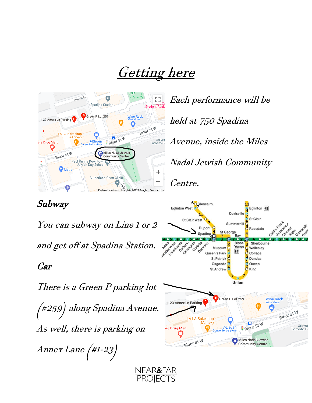# Getting here

NEAR&FAR<br>PROJECTS



Each performance will be held at 750 Spadina Avenue, inside the Miles Nadal Jewish Community Centre.

## Subway

You can subway on Line 1 or 2 and get off at Spadina Station.

#### Car

There is a Green P parking lot (#259) along Spadina Avenue. As well, there is parking on Annex Lane (#1-23)

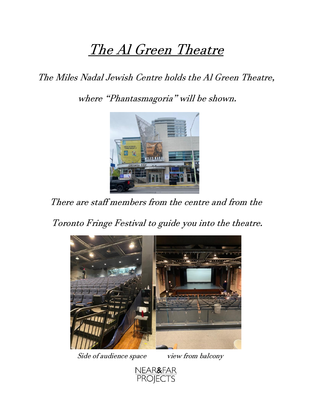# The Al Green Theatre

## The Miles Nadal Jewish Centre holds the Al Green Theatre,

where "Phantasmagoria" will be shown.



There are staff members from the centre and from the

Toronto Fringe Festival to guide you into the theatre.



Side of audience space view from balcony

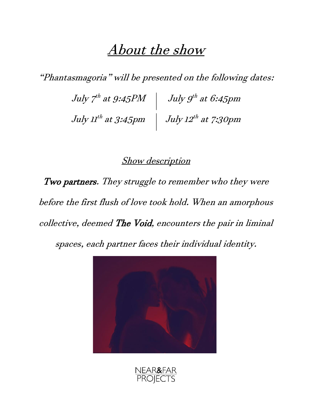## About the show

"Phantasmagoria" will be presented on the following dates:

July 7<sup>th</sup> at 9:45PM  $\quad \vert \quad$  July 9<sup>th</sup> at 6:45pm July 11<sup>th</sup> at 3:45pm  $\; \mid \;$  July 12<sup>th</sup> at 7:30pm

#### **Show description**

Two partners. They struggle to remember who they were before the first flush of love took hold. When an amorphous collective, deemed The Void, encounters the pair in liminal

spaces, each partner faces their individual identity.



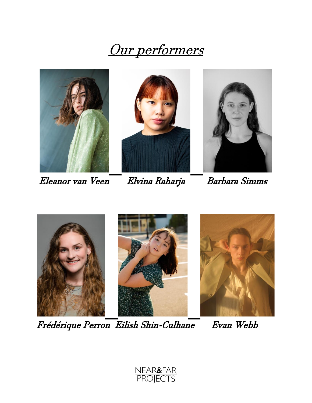# Our performers



Eleanor van Veen Elvina Raharja Barbara Simms





Frédérique Perron Eilish Shin-Culhane Evan Webb

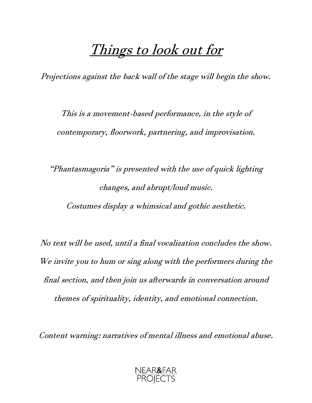## Things to look out for

Projections against the back wall of the stage will begin the show.

This is a movement-based performance, in the style of contemporary, floorwork, partnering, and improvisation.

"Phantasmagoria" is presented with the use of quick lighting changes, and abrupt/loud music. Costumes display a whimsical and gothic aesthetic.

No text will be used, until a final vocalization concludes the show. We invite you to hum or sing along with the performers during the final section, and then join us afterwards in conversation around themes of spirituality, identity, and emotional connection.

Content warning: narratives of mental illness and emotional abuse.